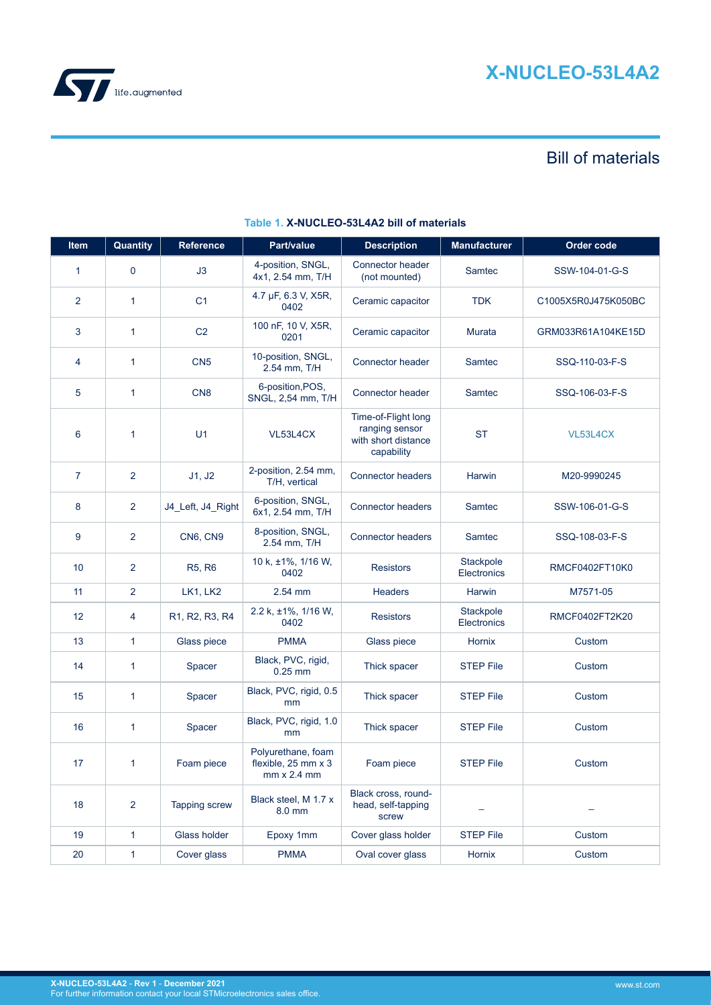

# Bill of materials

| Item           | Quantity       | Reference         | Part/value                                                         | <b>Description</b>                                                         | <b>Manufacturer</b>      | Order code          |
|----------------|----------------|-------------------|--------------------------------------------------------------------|----------------------------------------------------------------------------|--------------------------|---------------------|
| $\mathbf{1}$   | $\mathbf 0$    | J3                | 4-position, SNGL,<br>4x1, 2.54 mm, T/H                             | Connector header<br>(not mounted)                                          | Samtec                   | SSW-104-01-G-S      |
| $\overline{2}$ | $\mathbf{1}$   | C <sub>1</sub>    | 4.7 µF, 6.3 V, X5R,<br>0402                                        | Ceramic capacitor                                                          | <b>TDK</b>               | C1005X5R0J475K050BC |
| 3              | 1              | C <sub>2</sub>    | 100 nF, 10 V, X5R,<br>0201                                         | Ceramic capacitor                                                          | <b>Murata</b>            | GRM033R61A104KE15D  |
| 4              | 1              | CN <sub>5</sub>   | 10-position, SNGL,<br>2.54 mm, T/H                                 | Connector header                                                           | Samtec                   | SSQ-110-03-F-S      |
| 5              | 1              | CN <sub>8</sub>   | 6-position, POS,<br>SNGL, 2,54 mm, T/H                             | Connector header                                                           | Samtec                   | SSQ-106-03-F-S      |
| 6              | 1              | U <sub>1</sub>    | VL53L4CX                                                           | Time-of-Flight long<br>ranging sensor<br>with short distance<br>capability | <b>ST</b>                | VL53L4CX            |
| $\overline{7}$ | 2              | J1, J2            | 2-position, 2.54 mm,<br>T/H, vertical                              | <b>Connector headers</b>                                                   | Harwin                   | M20-9990245         |
| 8              | 2              | J4_Left, J4_Right | 6-position, SNGL,<br>6x1, 2.54 mm, T/H                             | <b>Connector headers</b>                                                   | Samtec                   | SSW-106-01-G-S      |
| 9              | 2              | CN6, CN9          | 8-position, SNGL,<br>2.54 mm, T/H                                  | <b>Connector headers</b>                                                   | Samtec                   | SSQ-108-03-F-S      |
| 10             | 2              | <b>R5, R6</b>     | 10 k, ±1%, 1/16 W,<br>0402                                         | <b>Resistors</b>                                                           | Stackpole<br>Electronics | RMCF0402FT10K0      |
| 11             | $\overline{2}$ | LK1, LK2          | 2.54 mm                                                            | <b>Headers</b>                                                             | Harwin                   | M7571-05            |
| 12             | 4              | R1, R2, R3, R4    | 2.2 k, ±1%, 1/16 W,<br>0402                                        | <b>Resistors</b>                                                           | Stackpole<br>Electronics | RMCF0402FT2K20      |
| 13             | $\mathbf{1}$   | Glass piece       | <b>PMMA</b>                                                        | Glass piece                                                                | Hornix                   | Custom              |
| 14             | 1              | Spacer            | Black, PVC, rigid,<br>$0.25$ mm                                    | Thick spacer                                                               | <b>STEP File</b>         | Custom              |
| 15             | 1              | Spacer            | Black, PVC, rigid, 0.5<br>mm                                       | Thick spacer                                                               | <b>STEP File</b>         | Custom              |
| 16             | 1              | Spacer            | Black, PVC, rigid, 1.0<br>mm                                       | Thick spacer                                                               | <b>STEP File</b>         | Custom              |
| 17             | 1              | Foam piece        | Polyurethane, foam<br>flexible, 25 mm x 3<br>$mm \times 2.4 \, mm$ | Foam piece                                                                 | <b>STEP File</b>         | Custom              |
| 18             | $\overline{2}$ | Tapping screw     | Black steel, M 1.7 x<br>8.0 mm                                     | Black cross, round-<br>head, self-tapping<br>screw                         |                          |                     |
| 19             | 1              | Glass holder      | Epoxy 1mm                                                          | Cover glass holder                                                         | <b>STEP File</b>         | Custom              |
| 20             | 1              | Cover glass       | <b>PMMA</b>                                                        | Oval cover glass                                                           | Hornix                   | Custom              |

# **Table 1. X-NUCLEO-53L4A2 bill of materials**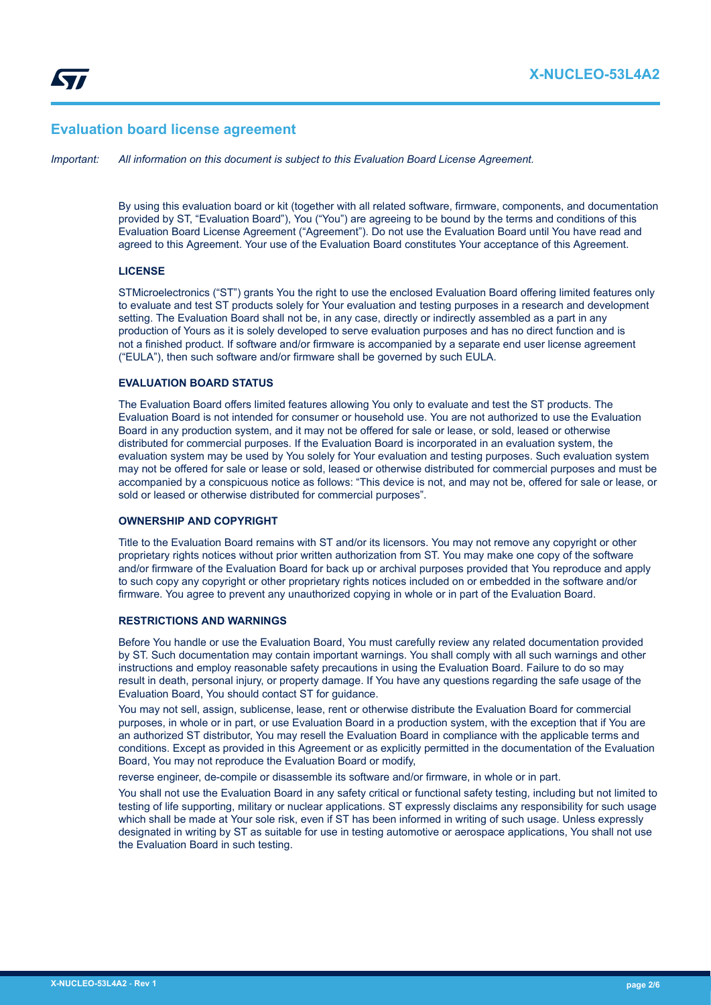# **Evaluation board license agreement**

*Important: All information on this document is subject to this Evaluation Board License Agreement.*

By using this evaluation board or kit (together with all related software, firmware, components, and documentation provided by ST, "Evaluation Board"), You ("You") are agreeing to be bound by the terms and conditions of this Evaluation Board License Agreement ("Agreement"). Do not use the Evaluation Board until You have read and agreed to this Agreement. Your use of the Evaluation Board constitutes Your acceptance of this Agreement.

#### **LICENSE**

STMicroelectronics ("ST") grants You the right to use the enclosed Evaluation Board offering limited features only to evaluate and test ST products solely for Your evaluation and testing purposes in a research and development setting. The Evaluation Board shall not be, in any case, directly or indirectly assembled as a part in any production of Yours as it is solely developed to serve evaluation purposes and has no direct function and is not a finished product. If software and/or firmware is accompanied by a separate end user license agreement ("EULA"), then such software and/or firmware shall be governed by such EULA.

#### **EVALUATION BOARD STATUS**

The Evaluation Board offers limited features allowing You only to evaluate and test the ST products. The Evaluation Board is not intended for consumer or household use. You are not authorized to use the Evaluation Board in any production system, and it may not be offered for sale or lease, or sold, leased or otherwise distributed for commercial purposes. If the Evaluation Board is incorporated in an evaluation system, the evaluation system may be used by You solely for Your evaluation and testing purposes. Such evaluation system may not be offered for sale or lease or sold, leased or otherwise distributed for commercial purposes and must be accompanied by a conspicuous notice as follows: "This device is not, and may not be, offered for sale or lease, or sold or leased or otherwise distributed for commercial purposes".

# **OWNERSHIP AND COPYRIGHT**

Title to the Evaluation Board remains with ST and/or its licensors. You may not remove any copyright or other proprietary rights notices without prior written authorization from ST. You may make one copy of the software and/or firmware of the Evaluation Board for back up or archival purposes provided that You reproduce and apply to such copy any copyright or other proprietary rights notices included on or embedded in the software and/or firmware. You agree to prevent any unauthorized copying in whole or in part of the Evaluation Board.

#### **RESTRICTIONS AND WARNINGS**

Before You handle or use the Evaluation Board, You must carefully review any related documentation provided by ST. Such documentation may contain important warnings. You shall comply with all such warnings and other instructions and employ reasonable safety precautions in using the Evaluation Board. Failure to do so may result in death, personal injury, or property damage. If You have any questions regarding the safe usage of the Evaluation Board, You should contact ST for guidance.

You may not sell, assign, sublicense, lease, rent or otherwise distribute the Evaluation Board for commercial purposes, in whole or in part, or use Evaluation Board in a production system, with the exception that if You are an authorized ST distributor, You may resell the Evaluation Board in compliance with the applicable terms and conditions. Except as provided in this Agreement or as explicitly permitted in the documentation of the Evaluation Board, You may not reproduce the Evaluation Board or modify,

reverse engineer, de-compile or disassemble its software and/or firmware, in whole or in part.

You shall not use the Evaluation Board in any safety critical or functional safety testing, including but not limited to testing of life supporting, military or nuclear applications. ST expressly disclaims any responsibility for such usage which shall be made at Your sole risk, even if ST has been informed in writing of such usage. Unless expressly designated in writing by ST as suitable for use in testing automotive or aerospace applications, You shall not use the Evaluation Board in such testing.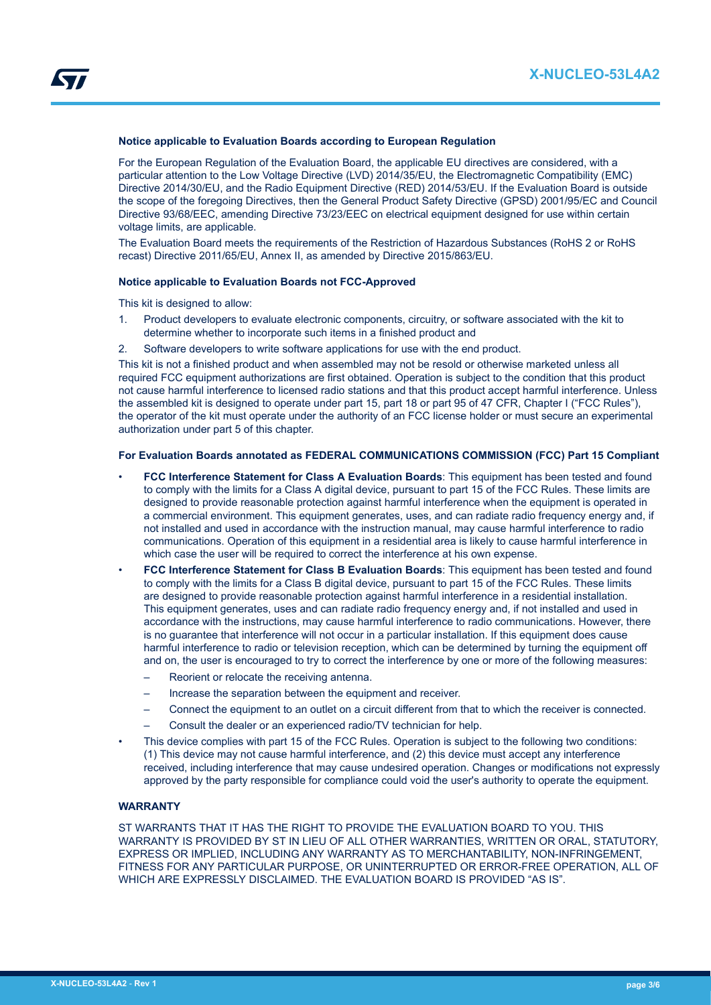#### **Notice applicable to Evaluation Boards according to European Regulation**

For the European Regulation of the Evaluation Board, the applicable EU directives are considered, with a particular attention to the Low Voltage Directive (LVD) 2014/35/EU, the Electromagnetic Compatibility (EMC) Directive 2014/30/EU, and the Radio Equipment Directive (RED) 2014/53/EU. If the Evaluation Board is outside the scope of the foregoing Directives, then the General Product Safety Directive (GPSD) 2001/95/EC and Council Directive 93/68/EEC, amending Directive 73/23/EEC on electrical equipment designed for use within certain voltage limits, are applicable.

The Evaluation Board meets the requirements of the Restriction of Hazardous Substances (RoHS 2 or RoHS recast) Directive 2011/65/EU, Annex II, as amended by Directive 2015/863/EU.

#### **Notice applicable to Evaluation Boards not FCC-Approved**

This kit is designed to allow:

- 1. Product developers to evaluate electronic components, circuitry, or software associated with the kit to determine whether to incorporate such items in a finished product and
- 2. Software developers to write software applications for use with the end product.

This kit is not a finished product and when assembled may not be resold or otherwise marketed unless all required FCC equipment authorizations are first obtained. Operation is subject to the condition that this product not cause harmful interference to licensed radio stations and that this product accept harmful interference. Unless the assembled kit is designed to operate under part 15, part 18 or part 95 of 47 CFR, Chapter I ("FCC Rules"), the operator of the kit must operate under the authority of an FCC license holder or must secure an experimental authorization under part 5 of this chapter.

#### **For Evaluation Boards annotated as FEDERAL COMMUNICATIONS COMMISSION (FCC) Part 15 Compliant**

- **FCC Interference Statement for Class A Evaluation Boards**: This equipment has been tested and found to comply with the limits for a Class A digital device, pursuant to part 15 of the FCC Rules. These limits are designed to provide reasonable protection against harmful interference when the equipment is operated in a commercial environment. This equipment generates, uses, and can radiate radio frequency energy and, if not installed and used in accordance with the instruction manual, may cause harmful interference to radio communications. Operation of this equipment in a residential area is likely to cause harmful interference in which case the user will be required to correct the interference at his own expense.
- **FCC Interference Statement for Class B Evaluation Boards**: This equipment has been tested and found to comply with the limits for a Class B digital device, pursuant to part 15 of the FCC Rules. These limits are designed to provide reasonable protection against harmful interference in a residential installation. This equipment generates, uses and can radiate radio frequency energy and, if not installed and used in accordance with the instructions, may cause harmful interference to radio communications. However, there is no guarantee that interference will not occur in a particular installation. If this equipment does cause harmful interference to radio or television reception, which can be determined by turning the equipment off and on, the user is encouraged to try to correct the interference by one or more of the following measures:
	- Reorient or relocate the receiving antenna.
	- Increase the separation between the equipment and receiver.
	- Connect the equipment to an outlet on a circuit different from that to which the receiver is connected.
	- Consult the dealer or an experienced radio/TV technician for help.
- This device complies with part 15 of the FCC Rules. Operation is subject to the following two conditions: (1) This device may not cause harmful interference, and (2) this device must accept any interference received, including interference that may cause undesired operation. Changes or modifications not expressly approved by the party responsible for compliance could void the user's authority to operate the equipment.

#### **WARRANTY**

ST WARRANTS THAT IT HAS THE RIGHT TO PROVIDE THE EVALUATION BOARD TO YOU. THIS WARRANTY IS PROVIDED BY ST IN LIEU OF ALL OTHER WARRANTIES, WRITTEN OR ORAL, STATUTORY, EXPRESS OR IMPLIED, INCLUDING ANY WARRANTY AS TO MERCHANTABILITY, NON-INFRINGEMENT, FITNESS FOR ANY PARTICULAR PURPOSE, OR UNINTERRUPTED OR ERROR-FREE OPERATION, ALL OF WHICH ARE EXPRESSLY DISCLAIMED. THE EVALUATION BOARD IS PROVIDED "AS IS".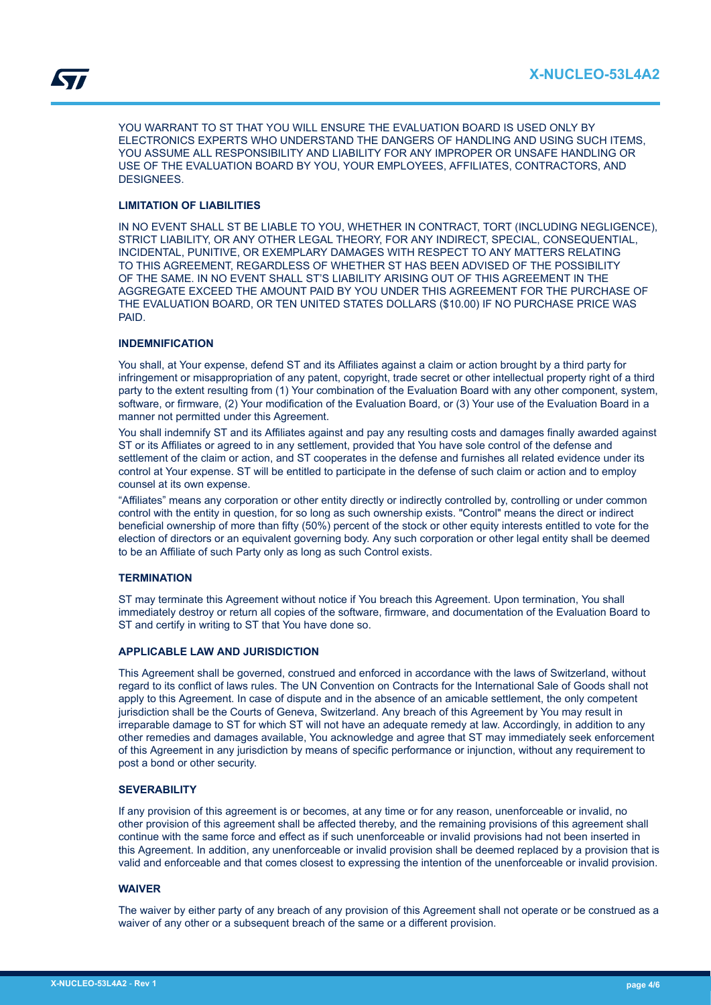YOU WARRANT TO ST THAT YOU WILL ENSURE THE EVALUATION BOARD IS USED ONLY BY ELECTRONICS EXPERTS WHO UNDERSTAND THE DANGERS OF HANDLING AND USING SUCH ITEMS, YOU ASSUME ALL RESPONSIBILITY AND LIABILITY FOR ANY IMPROPER OR UNSAFE HANDLING OR USE OF THE EVALUATION BOARD BY YOU, YOUR EMPLOYEES, AFFILIATES, CONTRACTORS, AND DESIGNEES.

## **LIMITATION OF LIABILITIES**

IN NO EVENT SHALL ST BE LIABLE TO YOU, WHETHER IN CONTRACT, TORT (INCLUDING NEGLIGENCE), STRICT LIABILITY, OR ANY OTHER LEGAL THEORY, FOR ANY INDIRECT, SPECIAL, CONSEQUENTIAL, INCIDENTAL, PUNITIVE, OR EXEMPLARY DAMAGES WITH RESPECT TO ANY MATTERS RELATING TO THIS AGREEMENT, REGARDLESS OF WHETHER ST HAS BEEN ADVISED OF THE POSSIBILITY OF THE SAME. IN NO EVENT SHALL ST'S LIABILITY ARISING OUT OF THIS AGREEMENT IN THE AGGREGATE EXCEED THE AMOUNT PAID BY YOU UNDER THIS AGREEMENT FOR THE PURCHASE OF THE EVALUATION BOARD, OR TEN UNITED STATES DOLLARS (\$10.00) IF NO PURCHASE PRICE WAS PAID.

## **INDEMNIFICATION**

You shall, at Your expense, defend ST and its Affiliates against a claim or action brought by a third party for infringement or misappropriation of any patent, copyright, trade secret or other intellectual property right of a third party to the extent resulting from (1) Your combination of the Evaluation Board with any other component, system, software, or firmware, (2) Your modification of the Evaluation Board, or (3) Your use of the Evaluation Board in a manner not permitted under this Agreement.

You shall indemnify ST and its Affiliates against and pay any resulting costs and damages finally awarded against ST or its Affiliates or agreed to in any settlement, provided that You have sole control of the defense and settlement of the claim or action, and ST cooperates in the defense and furnishes all related evidence under its control at Your expense. ST will be entitled to participate in the defense of such claim or action and to employ counsel at its own expense.

"Affiliates" means any corporation or other entity directly or indirectly controlled by, controlling or under common control with the entity in question, for so long as such ownership exists. "Control" means the direct or indirect beneficial ownership of more than fifty (50%) percent of the stock or other equity interests entitled to vote for the election of directors or an equivalent governing body. Any such corporation or other legal entity shall be deemed to be an Affiliate of such Party only as long as such Control exists.

## **TERMINATION**

ST may terminate this Agreement without notice if You breach this Agreement. Upon termination, You shall immediately destroy or return all copies of the software, firmware, and documentation of the Evaluation Board to ST and certify in writing to ST that You have done so.

## **APPLICABLE LAW AND JURISDICTION**

This Agreement shall be governed, construed and enforced in accordance with the laws of Switzerland, without regard to its conflict of laws rules. The UN Convention on Contracts for the International Sale of Goods shall not apply to this Agreement. In case of dispute and in the absence of an amicable settlement, the only competent jurisdiction shall be the Courts of Geneva, Switzerland. Any breach of this Agreement by You may result in irreparable damage to ST for which ST will not have an adequate remedy at law. Accordingly, in addition to any other remedies and damages available, You acknowledge and agree that ST may immediately seek enforcement of this Agreement in any jurisdiction by means of specific performance or injunction, without any requirement to post a bond or other security.

# **SEVERABILITY**

If any provision of this agreement is or becomes, at any time or for any reason, unenforceable or invalid, no other provision of this agreement shall be affected thereby, and the remaining provisions of this agreement shall continue with the same force and effect as if such unenforceable or invalid provisions had not been inserted in this Agreement. In addition, any unenforceable or invalid provision shall be deemed replaced by a provision that is valid and enforceable and that comes closest to expressing the intention of the unenforceable or invalid provision.

#### **WAIVER**

The waiver by either party of any breach of any provision of this Agreement shall not operate or be construed as a waiver of any other or a subsequent breach of the same or a different provision.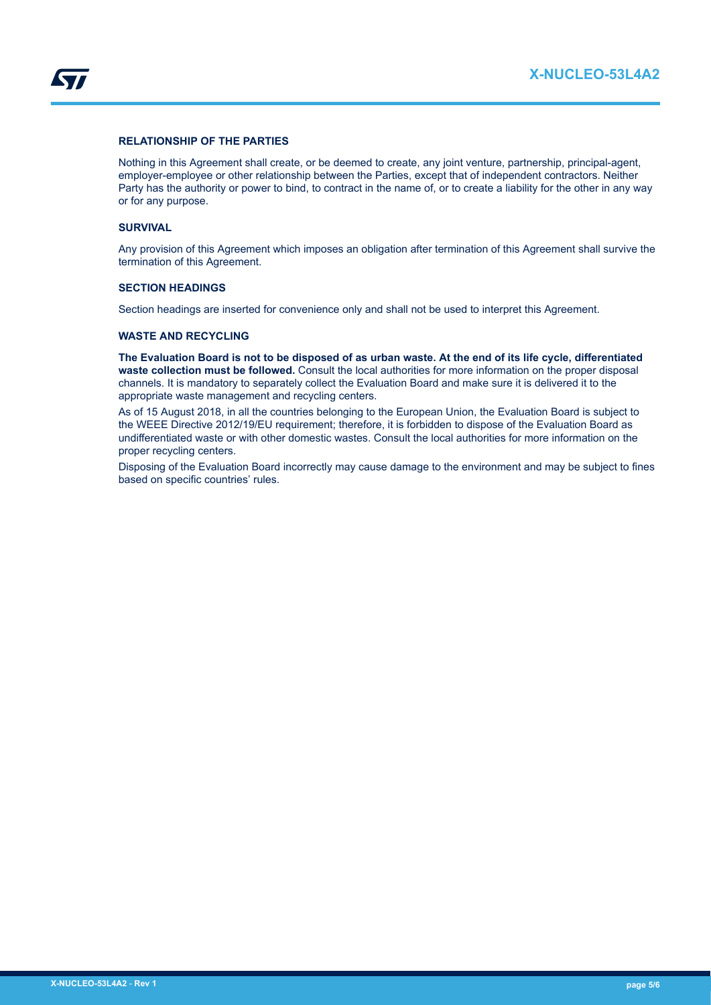

## **RELATIONSHIP OF THE PARTIES**

Nothing in this Agreement shall create, or be deemed to create, any joint venture, partnership, principal-agent, employer-employee or other relationship between the Parties, except that of independent contractors. Neither Party has the authority or power to bind, to contract in the name of, or to create a liability for the other in any way or for any purpose.

#### **SURVIVAL**

Any provision of this Agreement which imposes an obligation after termination of this Agreement shall survive the termination of this Agreement.

#### **SECTION HEADINGS**

Section headings are inserted for convenience only and shall not be used to interpret this Agreement.

### **WASTE AND RECYCLING**

**The Evaluation Board is not to be disposed of as urban waste. At the end of its life cycle, differentiated waste collection must be followed.** Consult the local authorities for more information on the proper disposal channels. It is mandatory to separately collect the Evaluation Board and make sure it is delivered it to the appropriate waste management and recycling centers.

As of 15 August 2018, in all the countries belonging to the European Union, the Evaluation Board is subject to the WEEE Directive 2012/19/EU requirement; therefore, it is forbidden to dispose of the Evaluation Board as undifferentiated waste or with other domestic wastes. Consult the local authorities for more information on the proper recycling centers.

Disposing of the Evaluation Board incorrectly may cause damage to the environment and may be subject to fines based on specific countries' rules.